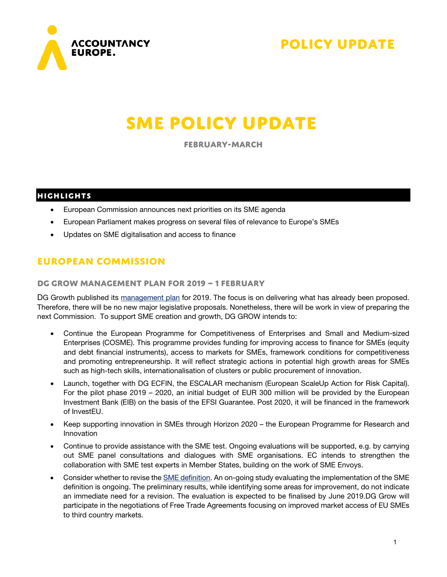



# **SME Policy Update**

**February-March**

## **HIGHLIGHTS**

- European Commission announces next priorities on its SME agenda
- European Parliament makes progress on several files of relevance to Europe's SMEs
- Updates on SME digitalisation and access to finance

# **European Commission**

### **DG GROW Management plan for 2019 – 1 February**

DG Growth published its [management plan](https://ec.europa.eu/info/sites/info/files/management-plan-grow-2019_en_0.pdf) for 2019. The focus is on delivering what has already been proposed. Therefore, there will be no new major legislative proposals. Nonetheless, there will be work in view of preparing the next Commission. To support SME creation and growth, DG GROW intends to:

- Continue the European Programme for Competitiveness of Enterprises and Small and Medium-sized Enterprises (COSME). This programme provides funding for improving access to finance for SMEs (equity and debt financial instruments), access to markets for SMEs, framework conditions for competitiveness and promoting entrepreneurship. It will reflect strategic actions in potential high growth areas for SMEs such as high-tech skills, internationalisation of clusters or public procurement of innovation.
- Launch, together with DG ECFIN, the ESCALAR mechanism (European ScaleUp Action for Risk Capital). For the pilot phase 2019 – 2020, an initial budget of EUR 300 million will be provided by the European Investment Bank (EIB) on the basis of the EFSI Guarantee. Post 2020, it will be financed in the framework of InvestEU.
- Keep supporting innovation in SMEs through Horizon 2020 the European Programme for Research and Innovation
- Continue to provide assistance with the SME test. Ongoing evaluations will be supported, e.g. by carrying out SME panel consultations and dialogues with SME organisations. EC intends to strengthen the collaboration with SME test experts in Member States, building on the work of SME Envoys.
- Consider whether to revise the **SME** definition. An on-going study evaluating the implementation of the SME definition is ongoing. The preliminary results, while identifying some areas for improvement, do not indicate an immediate need for a revision. The evaluation is expected to be finalised by June 2019.DG Grow will participate in the negotiations of Free Trade Agreements focusing on improved market access of EU SMEs to third country markets.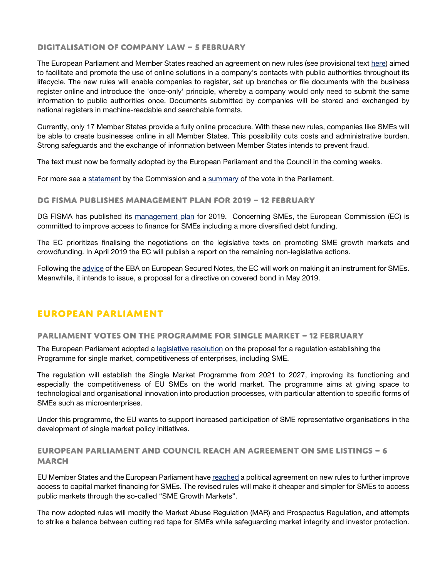### **Digitalisation of company law – 5 February**

The European Parliament and Member States reached an agreement on new rules (see provisional text [here\)](https://data.consilium.europa.eu/doc/document/ST-6095-2019-INIT/en/pdf) aimed to facilitate and promote the use of online solutions in a company's contacts with public authorities throughout its lifecycle. The new rules will enable companies to register, set up branches or file documents with the business register online and introduce the 'once-only' principle, whereby a company would only need to submit the same information to public authorities once. Documents submitted by companies will be stored and exchanged by national registers in machine-readable and searchable formats.

Currently, only 17 Member States provide a fully online procedure. With these new rules, companies like SMEs will be able to create businesses online in all Member States. This possibility cuts costs and administrative burden. Strong safeguards and the exchange of information between Member States intends to prevent fraud.

The text must now be formally adopted by the European Parliament and the Council in the coming weeks.

For more see a [statement](http://europa.eu/newsroom/rapid-failover/statement-19-867_en.pdf) by the Commission and a [summary](https://oeil.secure.europarl.europa.eu/oeil/popups/summary.do?id=1564471&t=d&l=en) of the vote in the Parliament.

### **DG FISMA publishes management plan for 2019 – 12 February**

DG FISMA has published its [management plan](https://ec.europa.eu/info/sites/info/files/management-plan-fisma-2019_en.pdf) for 2019. Concerning SMEs, the European Commission (EC) is committed to improve access to finance for SMEs including a more diversified debt funding.

The EC prioritizes finalising the negotiations on the legislative texts on promoting SME growth markets and crowdfunding. In April 2019 the EC will publish a report on the remaining non-legislative actions.

Following th[e advice](https://eba.europa.eu/documents/10180/2087449/EBA+Final+report+on+ESNs.pdf) of the EBA on European Secured Notes, the EC will work on making it an instrument for SMEs. Meanwhile, it intends to issue, a proposal for a directive on covered bond in May 2019.

# **European Parliament**

### **Parliament votes on the Programme for single market – 12 February**

The European Parliament adopted a [legislative resolution](http://www.europarl.europa.eu/sides/getDoc.do?type=TA&language=EN&reference=P8-TA-2019-0073) on the proposal for a regulation establishing the Programme for single market, competitiveness of enterprises, including SME.

The regulation will establish the Single Market Programme from 2021 to 2027, improving its functioning and especially the competitiveness of EU SMEs on the world market. The programme aims at giving space to technological and organisational innovation into production processes, with particular attention to specific forms of SMEs such as microenterprises.

Under this programme, the EU wants to support increased participation of SME representative organisations in the development of single market policy initiatives.

### **European parliament and Council reach an agreement on SME listings – 6 March**

EU Member States and the European Parliament have [reached](http://europa.eu/rapid/press-release_IP-19-1568_en.htm) a political agreement on new rules to further improve access to capital market financing for SMEs. The revised rules will make it cheaper and simpler for SMEs to access public markets through the so-called "SME Growth Markets".

The now adopted rules will modify the Market Abuse Regulation (MAR) and Prospectus Regulation, and attempts to strike a balance between cutting red tape for SMEs while safeguarding market integrity and investor protection.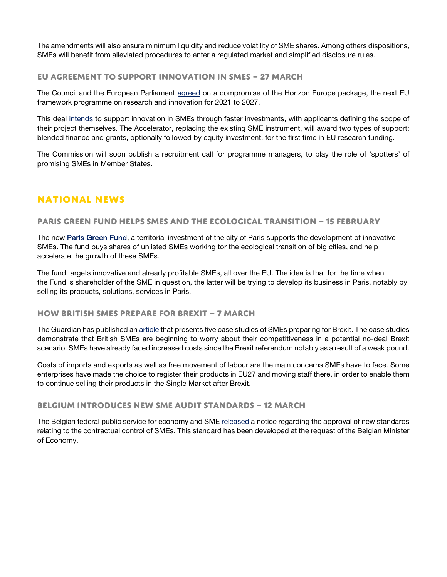The amendments will also ensure minimum liquidity and reduce volatility of SME shares. Among others dispositions, SMEs will benefit from alleviated procedures to enter a regulated market and simplified disclosure rules.

### **EU agreement to support innovation in SMEs – 27 March**

The Council and the European Parliament [agreed](https://www.consilium.europa.eu/en/press/press-releases/2019/03/27/eu-agreement-on-future-research-and-innovation-programme/) on a compromise of the Horizon Europe package, the next EU framework programme on research and innovation for 2021 to 2027.

This deal [intends](https://sciencebusiness.net/framework-programmes/news/eu-council-and-parliament-strike-deal-horizon-research-programme) to support innovation in SMEs through faster investments, with applicants defining the scope of their project themselves. The Accelerator, replacing the existing SME instrument, will award two types of support: blended finance and grants, optionally followed by equity investment, for the first time in EU research funding.

The Commission will soon publish a recruitment call for programme managers, to play the role of 'spotters' of promising SMEs in Member States.

# **National news**

### **Paris green fund helps SMEs and the ecological transition – 15 February**

The new [Paris Green Fund,](https://www.themayor.eu/en/stephane-villecroze-paris-green-fund-helps-smes-to-deploy-faster-solutions-for-the-ecological-transition-of-paris) a territorial investment of the city of Paris supports the development of innovative SMEs. The fund buys shares of unlisted SMEs working tor the ecological transition of big cities, and help accelerate the growth of these SMEs.

The fund targets innovative and already profitable SMEs, all over the EU. The idea is that for the time when the Fund is shareholder of the SME in question, the latter will be trying to develop its business in Paris, notably by selling its products, solutions, services in Paris.

### **How British SMEs prepare for Brexit – 7 March**

The Guardian has published a[n article](https://www.theguardian.com/politics/2019/mar/07/how-five-smaller-uk-firms-are-preparing-no-deal-brexit-plan-uncertain-future) that presents five case studies of SMEs preparing for Brexit. The case studies demonstrate that British SMEs are beginning to worry about their competitiveness in a potential no-deal Brexit scenario. SMEs have already faced increased costs since the Brexit referendum notably as a result of a weak pound.

Costs of imports and exports as well as free movement of labour are the main concerns SMEs have to face. Some enterprises have made the choice to register their products in EU27 and moving staff there, in order to enable them to continue selling their products in the Single Market after Brexit.

### **Belgium introduces new SME audit standards – 12 March**

The Belgian federal public service for economy and SM[E released](http://www.ejustice.just.fgov.be/cgi/article_body.pl?language=nl&pub_date=2019-03-12&caller=summary&numac=2019011025) a notice regarding the approval of new standards relating to the contractual control of SMEs. This standard has been developed at the request of the Belgian Minister of Economy.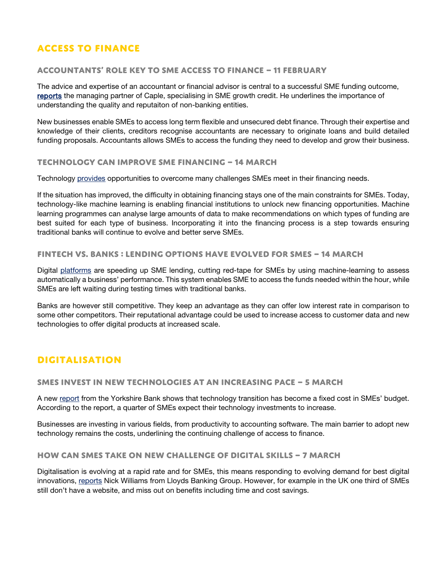# **Access to finance**

### **Accountants' role key to SME access to finance – 11 February**

The advice and expertise of an accountant or financial advisor is central to a successful SME funding outcome, [reports](http://dofonline.co.uk/2019/02/11/finance-directors-play-crucial-role-securing-sme-finance/) the managing partner of Caple, specialising in SME growth credit. He underlines the importance of understanding the quality and reputaiton of non-banking entities.

New businesses enable SMEs to access long term flexible and unsecured debt finance. Through their expertise and knowledge of their clients, creditors recognise accountants are necessary to originate loans and build detailed funding proposals. Accountants allows SMEs to access the funding they need to develop and grow their business.

### **Technology can Improve SME financing – 14 March**

Technology [provides](https://www.itproportal.com/features/how-machine-learning-can-improve-sme-financing/) opportunities to overcome many challenges SMEs meet in their financing needs.

If the situation has improved, the difficulty in obtaining financing stays one of the main constraints for SMEs. Today, technology-like machine learning is enabling financial institutions to unlock new financing opportunities. Machine learning programmes can analyse large amounts of data to make recommendations on which types of funding are best suited for each type of business. Incorporating it into the financing process is a step towards ensuring traditional banks will continue to evolve and better serve SMEs.

### **Fintech vs. Banks : Lending options have evolved for SMEs – 14 March**

Digital [platforms](https://www.raconteur.net/finance/sme-lending) are speeding up SME lending, cutting red-tape for SMEs by using machine-learning to assess automatically a business' performance. This system enables SME to access the funds needed within the hour, while SMEs are left waiting during testing times with traditional banks.

Banks are however still competitive. They keep an advantage as they can offer low interest rate in comparison to some other competitors. Their reputational advantage could be used to increase access to customer data and new technologies to offer digital products at increased scale.

# **Digitalisation**

### **SMEs invest in new technologies at an increasing pace – 5 March**

A new [report](https://www.telegraph.co.uk/business/challenges/budgeting-for-technology/) from the Yorkshire Bank shows that technology transition has become a fixed cost in SMEs' budget. According to the report, a quarter of SMEs expect their technology investments to increase.

Businesses are investing in various fields, from productivity to accounting software. The main barrier to adopt new technology remains the costs, underlining the continuing challenge of access to finance.

### **How can SMEs take on new challenge of digital skills – 7 March**

Digitalisation is evolving at a rapid rate and for SMEs, this means responding to evolving demand for best digital innovations, [reports](https://www.insidermedia.com/blogs/northwest/business-matters-sme-digital-skills) Nick Williams from Lloyds Banking Group. However, for example in the UK one third of SMEs still don't have a website, and miss out on benefits including time and cost savings.